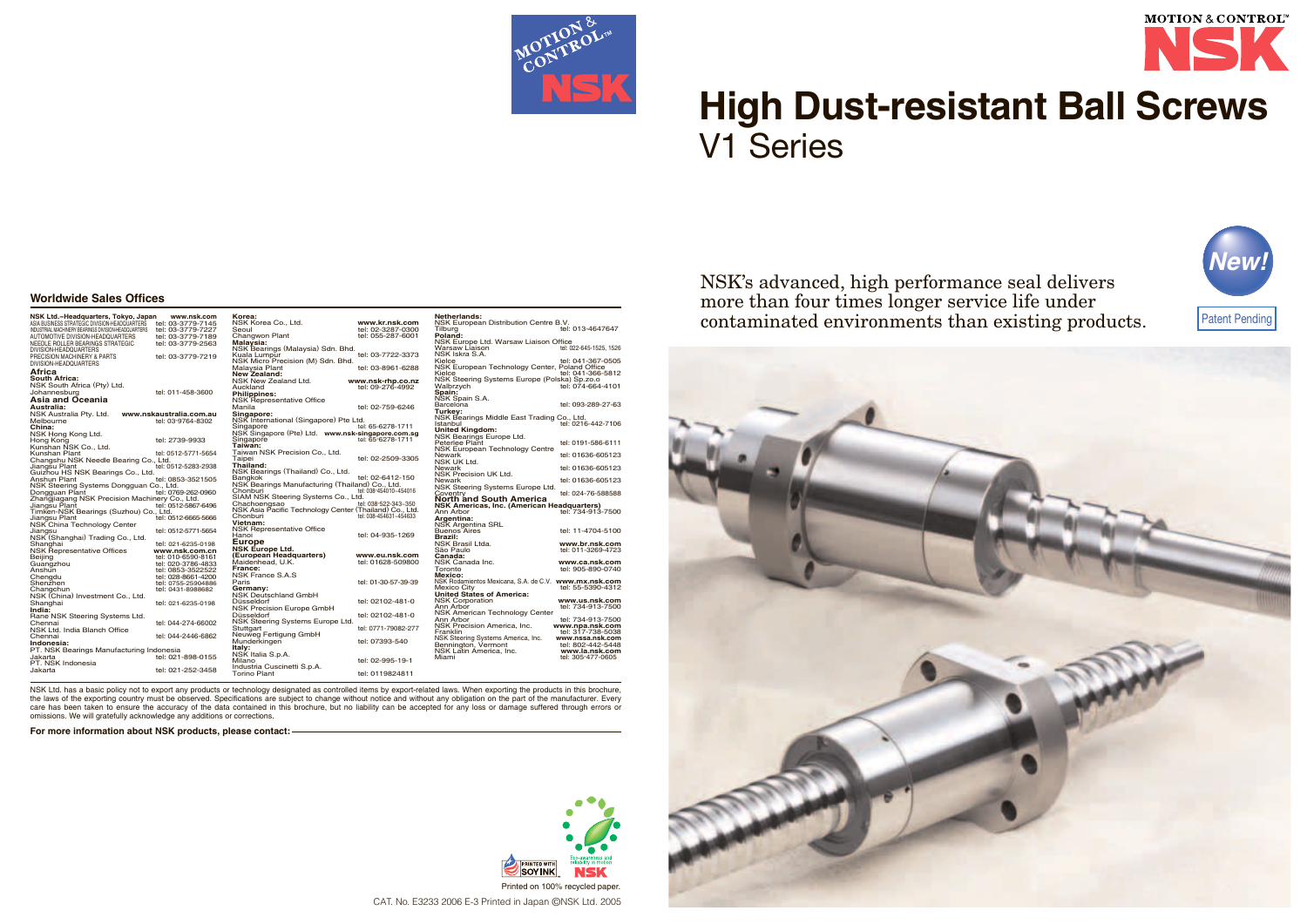

# **High Dust-resistant Ball Screws** V1 Series

NSK's advanced, high performance seal delivers more than four times longer service life under contaminated environments than existing products.



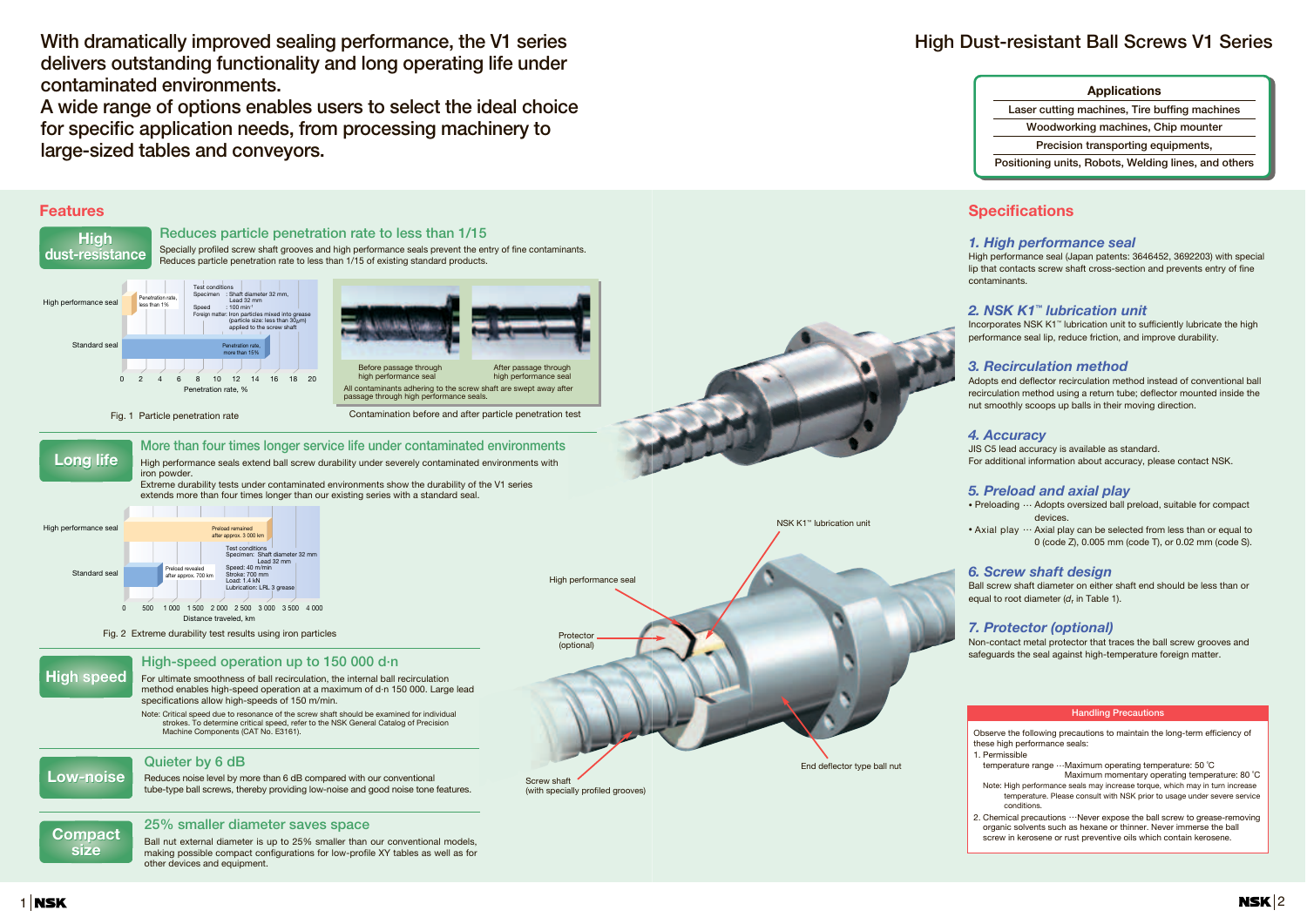**With dramatically improved sealing performance, the V1 series delivers outstanding functionality and long operating life under contaminated environments.**

**A wide range of options enables users to select the ideal choice for specific application needs, from processing machinery to large-sized tables and conveyors.**

> • Axial play  $\cdots$  Axial play can be selected from less than or equal to 0 (code Z), 0.005 mm (code T), or 0.02 mm (code S).

#### **Features** 0 2 4 6 8 10 12 14 16 18 20 netration rate, % Standard seal High performance sea Test conditions ris<br>Shaft diameter 32 mm Lead 32 mm<br><sup>1</sup> Speed : 100 min<sup>-1</sup> Iron particles mixed into greas (particle size: less than  $30 \mu m$ ) applied to the screw shaft Penetration rate, more than 15% Penetration rate, less than 1% Fig. 1 Particle penetration rate 0 500 1 000 1 500 2 000 2 500 3 000 3 500 4 000 Distance traveled, km Standard seal High performance seal Test conditions Specimen: Shaft diameter 32 mm Lead 32 mm Speed: 40 m/min Stroke: 700 mm Utione: 700 H וח <del>ד.</del>ו אי ג.<br>ication: LRL 3 gre eload re after approx. 700 km Preload remained after approx. 3 000 km Fig. 2 Extreme durability test results using iron particles **More than four times longer service life under contaminated environments** High performance seals extend ball screw durability under severely contaminated environments with iron powder. Extreme durability tests under contaminated environments show the durability of the V1 series extends more than four times longer than our existing series with a standard seal. **High-speed operation up to 150 000 d·n** For ultimate smoothness of ball recirculation, the internal ball recirculation method enables high-speed operation at a maximum of d·n 150 000. Large lead specifications allow high-speeds of 150 m/min. Note: Critical speed due to resonance of the screw shaft should be examined for individual strokes. To determine critical speed, refer to the NSK General Catalog of Precision Machine Components (CAT No. E3161). **Quieter by 6 dB** Reduces noise level by more than 6 dB compared with our conventional tube-type ball screws, thereby providing low-noise and good noise tone features. Before passage through high performance seal After passage through high performance seal All contaminants adhering to the screw shaft are swept away after passage through high performance seals. Contamination before and after particle penetration test **Reduces particle penetration rate to less than 1/15** Specially profiled screw shaft grooves and high performance seals prevent the entry of fine contaminants. Reduces particle penetration rate to less than 1/15 of existing standard products. **Long life Long life High speed High speed Low-noise Low-noise 25% smaller diameter saves space** Ball nut external diameter is up to 25% smaller than our conventional models, making possible compact configurations for low-profile XY tables as well as for other devices and equipment. **Compact size** High<br>
ust-resista<br>
standard seal<br>
standard seal<br>
Fig.<br>
Long life<br>
Fig.<br>
standard seal<br>
Fig.<br>
Compact<br>
Size **dust-resistance dust-resistance High**  High performance seal Protector (optional) Screw shaft (with specially profiled grooves) NSK K1™ lubrication unit End deflector type ball nut

### **1 NSK**

# **High Dust-resistant Ball Screws V1 Series**

#### **Applications**

**Laser cutting machines, Tire buffing machines** 

**Woodworking machines, Chip mounter**

**Precision transporting equipments,**

**Positioning units, Robots, Welding lines, and others**

Observe the following precautions to maintain the long-term efficiency of these high performance seals:

1. Permissible

temperature range …Maximum operating temperature: 50 ˚C

Maximum momentary operating temperature: 80 ˚C Note: High performance seals may increase torque, which may in turn increase temperature. Please consult with NSK prior to usage under severe service conditions.

2. Chemical precautions …Never expose the ball screw to grease-removing organic solvents such as hexane or thinner. Never immerse the ball screw in kerosene or rust preventive oils which contain kerosene.

#### **Handling Precautions**

## **Specifications**

#### *1. High performance seal*

High performance seal (Japan patents: 3646452, 3692203) with special lip that contacts screw shaft cross-section and prevents entry of fine contaminants.

#### *2. NSK K1 ™ lubrication unit*

Incorporates NSK K1™ lubrication unit to sufficiently lubricate the high performance seal lip, reduce friction, and improve durability.

#### *3. Recirculation method*

Adopts end deflector recirculation method instead of conventional ball recirculation method using a return tube; deflector mounted inside the nut smoothly scoops up balls in their moving direction.

#### *4. Accuracy*

JIS C5 lead accuracy is available as standard. For additional information about accuracy, please contact NSK.

#### *5. Preload and axial play*

• Preloading … Adopts oversized ball preload, suitable for compact devices.

#### *6. Screw shaft design*

Ball screw shaft diameter on either shaft end should be less than or equal to root diameter ( *d*<sup>r</sup> in Table 1).

#### *7. Protector (optional)*

Non-contact metal protector that traces the ball screw grooves and safeguards the seal against high-temperature foreign matter.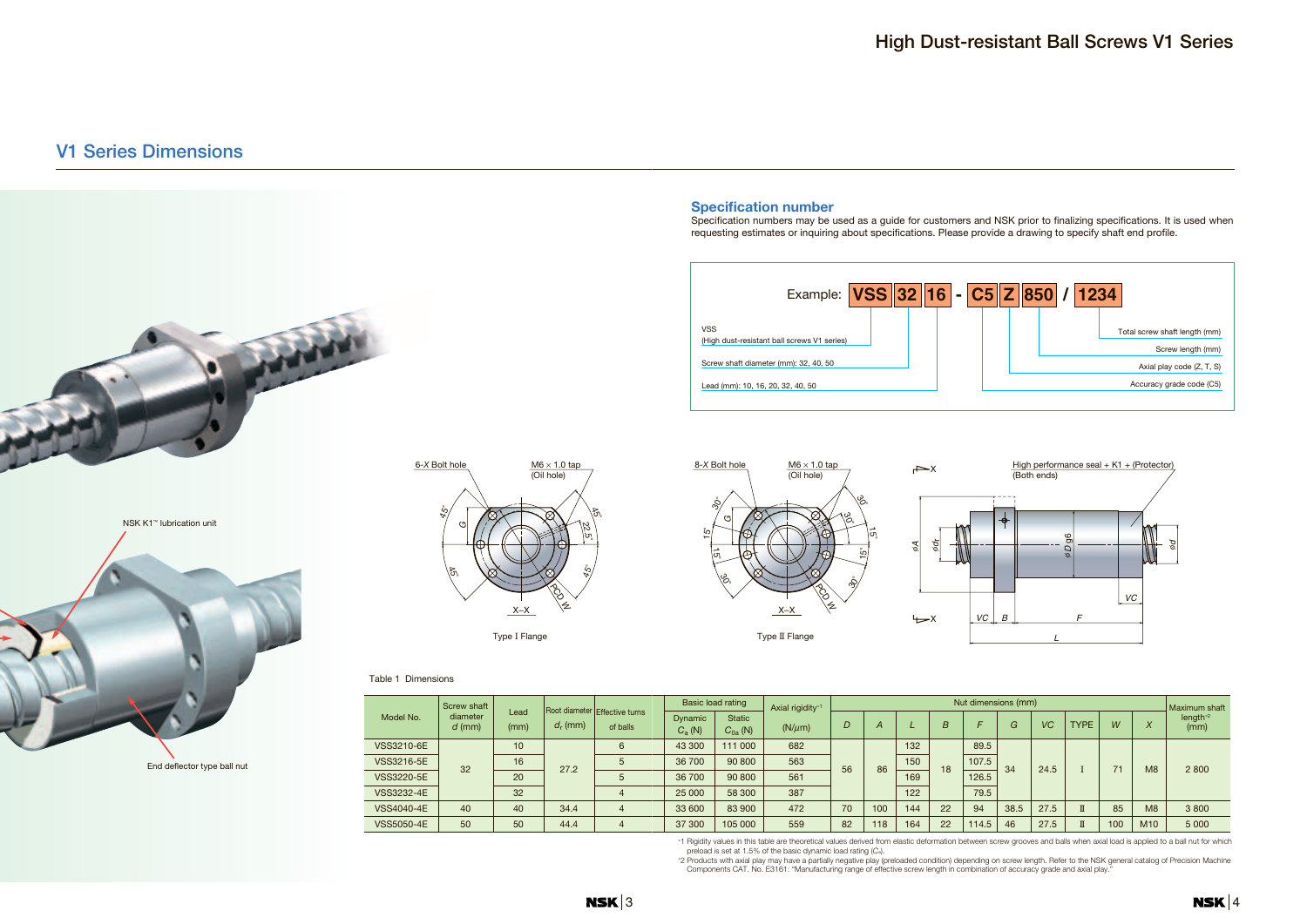## **V1 Series Dimensions**

VSS3220-5E VSS3232-4E VSS4040-4E VSS5050-4E

40 50

34.4 44.4

End deflector type ball nut



## **High Dust-resistant Ball Screws V1 Series**

Specification numbers may be used as a guide for customers and NSK prior to finalizing specifications. It is used when







|   | nsions (mm) | Maximum shaft |              |     |                  |                              |  |
|---|-------------|---------------|--------------|-----|------------------|------------------------------|--|
|   | G           | VC            | <b>TYPE</b>  | W   | $\boldsymbol{X}$ | length <sup>*2</sup><br>(mm) |  |
| 5 |             | 24.5          | I            | 71  | M <sub>8</sub>   |                              |  |
| 5 | 34          |               |              |     |                  | 2800                         |  |
| 5 |             |               |              |     |                  |                              |  |
| 5 |             |               |              |     |                  |                              |  |
|   | 38.5        | 27.5          | $\mathbf I$  | 85  | M <sub>8</sub>   | 3800                         |  |
| 5 | 46          | 27.5          | $\mathbb{I}$ | 100 | M10              | 5 0 0 0                      |  |

70 82

100 118

18

89. 107.  $126.$ 79. 94 114.

22 22

<sup>∗</sup>1 Rigidity values in this table are theoretical values derived from elastic deformation between screw grooves and balls when axial load is applied to a ball nut for which

preload is set at 1.5% of the basic dynamic load rating (*C*a).

<sup>∗</sup>2 Products with axial play may have a partially negative play (preloaded condition) depending on screw length. Refer to the NSK general catalog of Precision Machine Components CAT. No. E3161: "Manufacturing range of effective screw length in combination of accuracy grade and axial play."